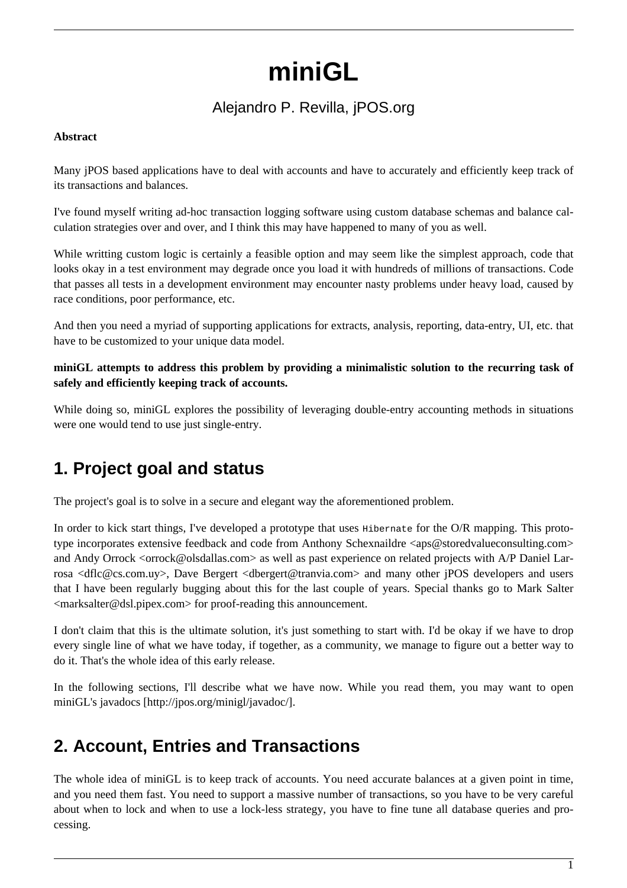# **miniGL**

## Alejandro P. Revilla, jPOS.org

### **Abstract**

Many jPOS based applications have to deal with accounts and have to accurately and efficiently keep track of its transactions and balances.

I've found myself writing ad-hoc transaction logging software using custom database schemas and balance calculation strategies over and over, and I think this may have happened to many of you as well.

While writting custom logic is certainly a feasible option and may seem like the simplest approach, code that looks okay in a test environment may degrade once you load it with hundreds of millions of transactions. Code that passes all tests in a development environment may encounter nasty problems under heavy load, caused by race conditions, poor performance, etc.

And then you need a myriad of supporting applications for extracts, analysis, reporting, data-entry, UI, etc. that have to be customized to your unique data model.

### **miniGL attempts to address this problem by providing a minimalistic solution to the recurring task of safely and efficiently keeping track of accounts.**

While doing so, miniGL explores the possibility of leveraging double-entry accounting methods in situations were one would tend to use just single-entry.

## **1. Project goal and status**

The project's goal is to solve in a secure and elegant way the aforementioned problem.

In order to kick start things, I've developed a prototype that uses Hibernate for the O/R mapping. This prototype incorporates extensive feedback and code from Anthony Schexnaildre <aps@storedvalueconsulting.com> and Andy Orrock <orrock@olsdallas.com> as well as past experience on related projects with A/P Daniel Larrosa <dflc@cs.com.uy>, Dave Bergert <dbergert@tranvia.com> and many other jPOS developers and users that I have been regularly bugging about this for the last couple of years. Special thanks go to Mark Salter <marksalter@dsl.pipex.com> for proof-reading this announcement.

I don't claim that this is the ultimate solution, it's just something to start with. I'd be okay if we have to drop every single line of what we have today, if together, as a community, we manage to figure out a better way to do it. That's the whole idea of this early release.

In the following sections, I'll describe what we have now. While you read them, you may want to open miniGL's [javadocs](http://jpos.org/minigl/javadoc/) [http://jpos.org/minigl/javadoc/].

# **2. Account, Entries and Transactions**

The whole idea of miniGL is to keep track of accounts. You need accurate balances at a given point in time, and you need them fast. You need to support a massive number of transactions, so you have to be very careful about when to lock and when to use a lock-less strategy, you have to fine tune all database queries and processing.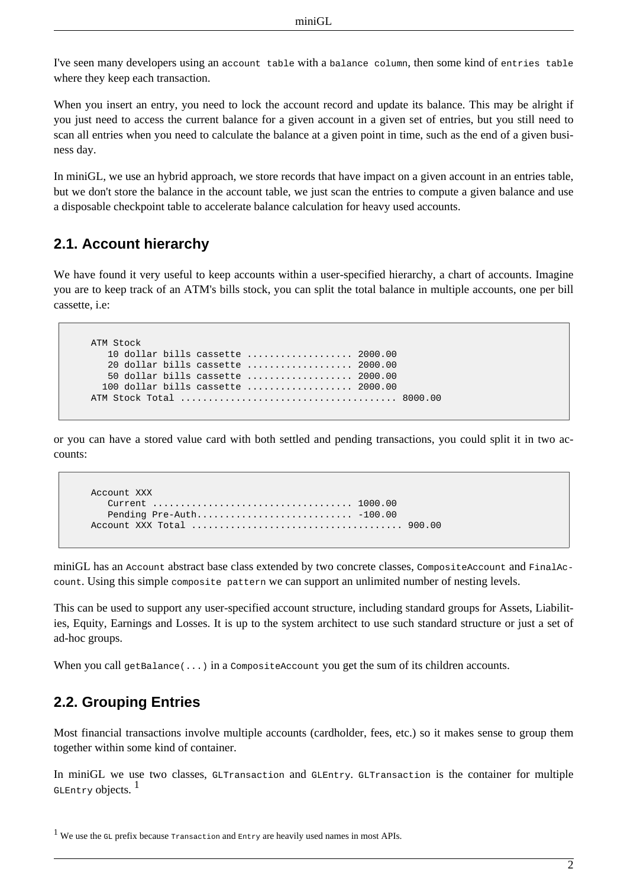I've seen many developers using an account table with a balance column, then some kind of entries table where they keep each transaction.

When you insert an entry, you need to lock the account record and update its balance. This may be alright if you just need to access the current balance for a given account in a given set of entries, but you still need to scan all entries when you need to calculate the balance at a given point in time, such as the end of a given business day.

In miniGL, we use an hybrid approach, we store records that have impact on a given account in an entries table, but we don't store the balance in the account table, we just scan the entries to compute a given balance and use a disposable checkpoint table to accelerate balance calculation for heavy used accounts.

## **2.1. Account hierarchy**

We have found it very useful to keep accounts within a user-specified hierarchy, a chart of accounts. Imagine you are to keep track of an ATM's bills stock, you can split the total balance in multiple accounts, one per bill cassette, i.e:

```
ATM Stock
  10 dollar bills cassette ................... 2000.00
   20 dollar bills cassette ................... 2000.00
   50 dollar bills cassette ................... 2000.00
  100 dollar bills cassette ................... 2000.00
ATM Stock Total ....................................... 8000.00
```
or you can have a stored value card with both settled and pending transactions, you could split it in two accounts:

```
Account XXX
   Current .................................... 1000.00
   Pending Pre-Auth............................ -100.00
Account XXX Total ...................................... 900.00
```
miniGL has an Account abstract base class extended by two concrete classes, CompositeAccount and FinalAccount. Using this simple composite pattern we can support an unlimited number of nesting levels.

This can be used to support any user-specified account structure, including standard groups for Assets, Liabilities, Equity, Earnings and Losses. It is up to the system architect to use such standard structure or just a set of ad-hoc groups.

When you call getBalance( $\ldots$ ) in a CompositeAccount you get the sum of its children accounts.

## **2.2. Grouping Entries**

Most financial transactions involve multiple accounts (cardholder, fees, etc.) so it makes sense to group them together within some kind of container.

In miniGL we use two classes, GLTransaction and GLEntry. GLTransaction is the container for multiple GLEntry objects.<sup>1</sup>

<sup>&</sup>lt;sup>1</sup> We use the GL prefix because  $\tau$ ransaction and  $\text{Entry}$  are heavily used names in most APIs.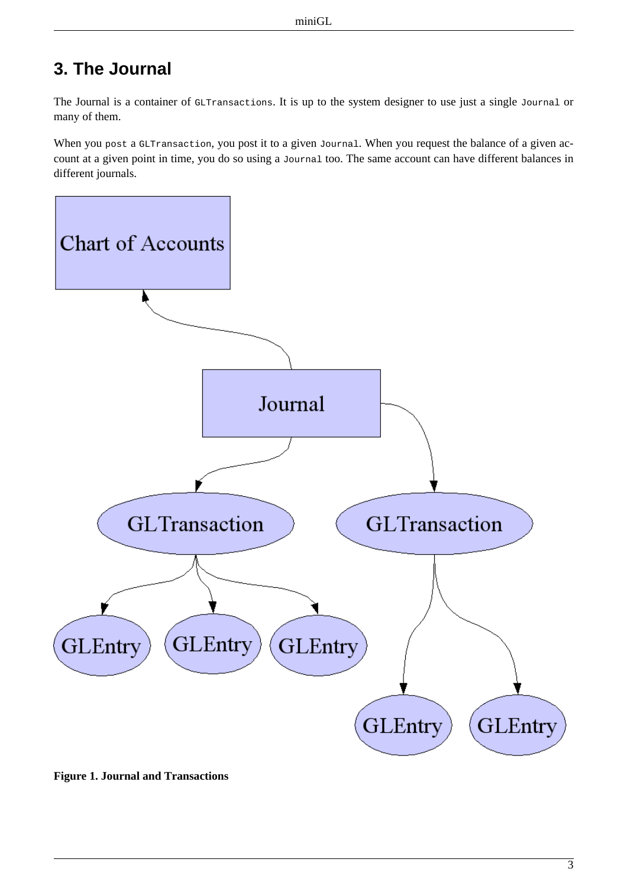# **3. The Journal**

The Journal is a container of GLTransactions. It is up to the system designer to use just a single Journal or many of them.

When you post a GLTransaction, you post it to a given Journal. When you request the balance of a given account at a given point in time, you do so using a Journal too. The same account can have different balances in different journals.



**Figure 1. Journal and Transactions**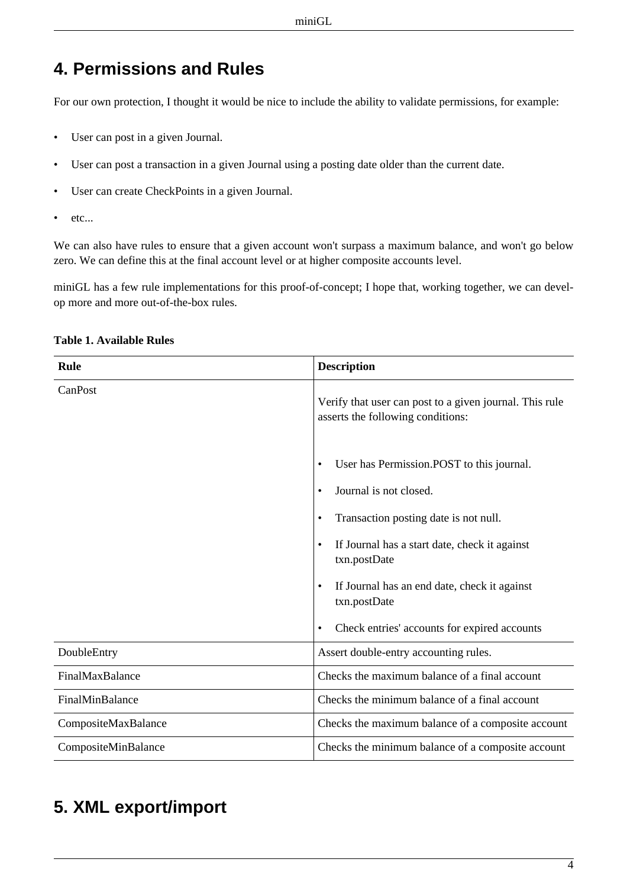# **4. Permissions and Rules**

For our own protection, I thought it would be nice to include the ability to validate permissions, for example:

- User can post in a given Journal.
- User can post a transaction in a given Journal using a posting date older than the current date.
- User can create CheckPoints in a given Journal.
- etc...

We can also have rules to ensure that a given account won't surpass a maximum balance, and won't go below zero. We can define this at the final account level or at higher composite accounts level.

miniGL has a few rule implementations for this proof-of-concept; I hope that, working together, we can develop more and more out-of-the-box rules.

| Rule                | <b>Description</b>                                                                           |
|---------------------|----------------------------------------------------------------------------------------------|
| CanPost             | Verify that user can post to a given journal. This rule<br>asserts the following conditions: |
|                     | User has Permission.POST to this journal.                                                    |
|                     | Journal is not closed.                                                                       |
|                     | Transaction posting date is not null.<br>$\bullet$                                           |
|                     | If Journal has a start date, check it against<br>txn.postDate                                |
|                     | If Journal has an end date, check it against<br>$\bullet$<br>txn.postDate                    |
|                     | Check entries' accounts for expired accounts<br>$\bullet$                                    |
| DoubleEntry         | Assert double-entry accounting rules.                                                        |
| FinalMaxBalance     | Checks the maximum balance of a final account                                                |
| FinalMinBalance     | Checks the minimum balance of a final account                                                |
| CompositeMaxBalance | Checks the maximum balance of a composite account                                            |
| CompositeMinBalance | Checks the minimum balance of a composite account                                            |

### **Table 1. Available Rules**

## **5. XML export/import**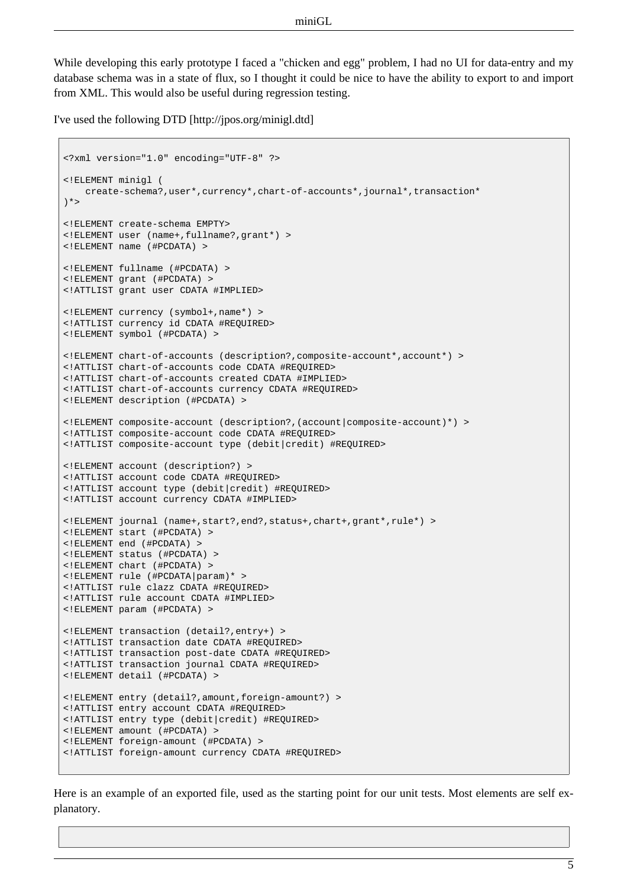While developing this early prototype I faced a "chicken and egg" problem, I had no UI for data-entry and my database schema was in a state of flux, so I thought it could be nice to have the ability to export to and import from XML. This would also be useful during regression testing.

I've used the following [DTD](http://jpos.org/minigl.dtd) [http://jpos.org/minigl.dtd]

```
<?xml version="1.0" encoding="UTF-8" ?>
<!ELEMENT minigl (
   create-schema?,user*,currency*,chart-of-accounts*,journal*,transaction*
)*>
<!ELEMENT create-schema EMPTY>
<!ELEMENT user (name+,fullname?,grant*) >
<!ELEMENT name (#PCDATA) >
<!ELEMENT fullname (#PCDATA) >
<!ELEMENT grant (#PCDATA) >
<!ATTLIST grant user CDATA #IMPLIED>
<!ELEMENT currency (symbol+,name*) >
<!ATTLIST currency id CDATA #REQUIRED>
<!ELEMENT symbol (#PCDATA) >
<!ELEMENT chart-of-accounts (description?,composite-account*,account*) >
<!ATTLIST chart-of-accounts code CDATA #REQUIRED>
<!ATTLIST chart-of-accounts created CDATA #IMPLIED>
<!ATTLIST chart-of-accounts currency CDATA #REQUIRED>
<!ELEMENT description (#PCDATA) >
<!ELEMENT composite-account (description?,(account|composite-account)*) >
<!ATTLIST composite-account code CDATA #REQUIRED>
<!ATTLIST composite-account type (debit|credit) #REQUIRED>
<!ELEMENT account (description?) >
<!ATTLIST account code CDATA #REQUIRED>
<!ATTLIST account type (debit|credit) #REQUIRED>
<!ATTLIST account currency CDATA #IMPLIED>
<!ELEMENT journal (name+,start?,end?,status+,chart+,grant*,rule*) >
<!ELEMENT start (#PCDATA) >
<!ELEMENT end (#PCDATA) >
<!ELEMENT status (#PCDATA) >
<!ELEMENT chart (#PCDATA) >
<!ELEMENT rule (#PCDATA|param)* >
<!ATTLIST rule clazz CDATA #REQUIRED>
<!ATTLIST rule account CDATA #IMPLIED>
<!ELEMENT param (#PCDATA) >
<!ELEMENT transaction (detail?,entry+) >
<!ATTLIST transaction date CDATA #REQUIRED>
<!ATTLIST transaction post-date CDATA #REQUIRED>
<!ATTLIST transaction journal CDATA #REQUIRED>
<!ELEMENT detail (#PCDATA) >
<!ELEMENT entry (detail?,amount,foreign-amount?) >
<!ATTLIST entry account CDATA #REQUIRED>
<!ATTLIST entry type (debit|credit) #REQUIRED>
<!ELEMENT amount (#PCDATA) >
<!ELEMENT foreign-amount (#PCDATA) >
<!ATTLIST foreign-amount currency CDATA #REQUIRED>
```
Here is an example of an exported file, used as the starting point for our unit tests. Most elements are self explanatory.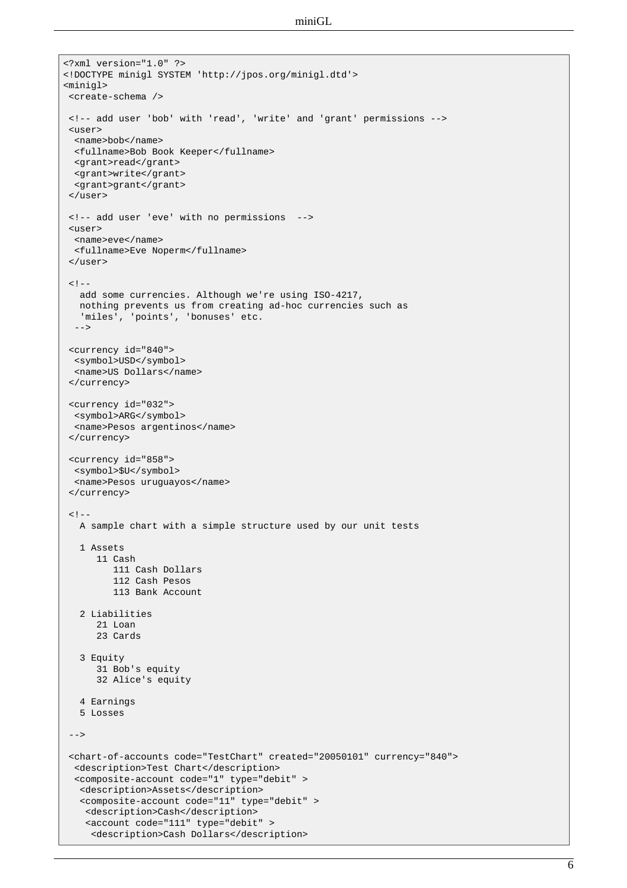```
<?xml version="1.0" ?>
<!DOCTYPE minigl SYSTEM 'http://jpos.org/minigl.dtd'>
<minigl>
<create-schema />
 <!-- add user 'bob' with 'read', 'write' and 'grant' permissions -->
 <user>
  <name>bob</name>
 <fullname>Bob Book Keeper</fullname>
 <grant>read</grant>
 <grant>write</grant>
 <grant>grant</grant>
 </user>
 <!-- add user 'eve' with no permissions -->
 \langleuser>
 <name>eve</name>
 <fullname>Eve Noperm</fullname>
 </user>
 <! --
  add some currencies. Although we're using ISO-4217,
  nothing prevents us from creating ad-hoc currencies such as
  'miles', 'points', 'bonuses' etc.
  --&><currency id="840">
 <symbol>USD</symbol>
 <name>US Dollars</name>
 </currency>
 <currency id="032">
 <symbol>ARG</symbol>
 <name>Pesos argentinos</name>
 </currency>
 <currency id="858">
 <symbol>$U</symbol>
 <name>Pesos uruguayos</name>
 </currency>
 < ! -A sample chart with a simple structure used by our unit tests
  1 Assets
     11 Cash
        111 Cash Dollars
         112 Cash Pesos
         113 Bank Account
   2 Liabilities
     21 Loan
     23 Cards
   3 Equity
     31 Bob's equity
      32 Alice's equity
   4 Earnings
   5 Losses
 --&><chart-of-accounts code="TestChart" created="20050101" currency="840">
 <description>Test Chart</description>
 <composite-account code="1" type="debit" >
  <description>Assets</description>
  <composite-account code="11" type="debit" >
   <description>Cash</description>
   <account code="111" type="debit" >
     <description>Cash Dollars</description>
```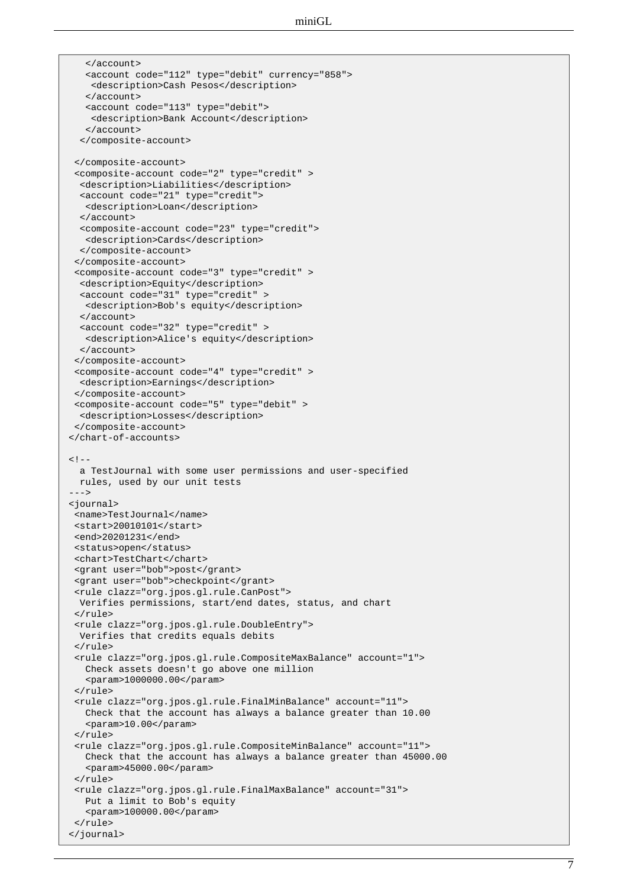```
</account>
   <account code="112" type="debit" currency="858">
   <description>Cash Pesos</description>
   </account>
   <account code="113" type="debit">
    <description>Bank Account</description>
   </account>
  </composite-account>
</composite-account>
 <composite-account code="2" type="credit" >
  <description>Liabilities</description>
  <account code="21" type="credit">
  <description>Loan</description>
  </account>
  <composite-account code="23" type="credit">
  <description>Cards</description>
  </composite-account>
 </composite-account>
 <composite-account code="3" type="credit" >
  <description>Equity</description>
  <account code="31" type="credit" >
  <description>Bob's equity</description>
  </account>
  <account code="32" type="credit" >
  <description>Alice's equity</description>
  </account>
 </composite-account>
 <composite-account code="4" type="credit" >
 <description>Earnings</description>
</composite-account>
<composite-account code="5" type="debit" >
 <description>Losses</description>
</composite-account>
</chart-of-accounts>
< 1 - -a TestJournal with some user permissions and user-specified
 rules, used by our unit tests
--->
<journal>
 <name>TestJournal</name>
 <start>20010101</start>
<end>20201231</end>
<status>open</status>
<chart>TestChart</chart>
<grant user="bob">post</grant>
<grant user="bob">checkpoint</grant>
 <rule clazz="org.jpos.gl.rule.CanPost">
 Verifies permissions, start/end dates, status, and chart
 \epsilon/rules
 <rule clazz="org.jpos.gl.rule.DoubleEntry">
 Verifies that credits equals debits
 </rule>
 <rule clazz="org.jpos.gl.rule.CompositeMaxBalance" account="1">
  Check assets doesn't go above one million
   <param>1000000.00</param>
 </rule>
 <rule clazz="org.jpos.gl.rule.FinalMinBalance" account="11">
  Check that the account has always a balance greater than 10.00
   <param>10.00</param>
 \langlerule>
 <rule clazz="org.jpos.gl.rule.CompositeMinBalance" account="11">
  Check that the account has always a balance greater than 45000.00
   <param>45000.00</param>
 </rule>
 <rule clazz="org.jpos.gl.rule.FinalMaxBalance" account="31">
  Put a limit to Bob's equity
   <param>100000.00</param>
 </rule>
</journal>
```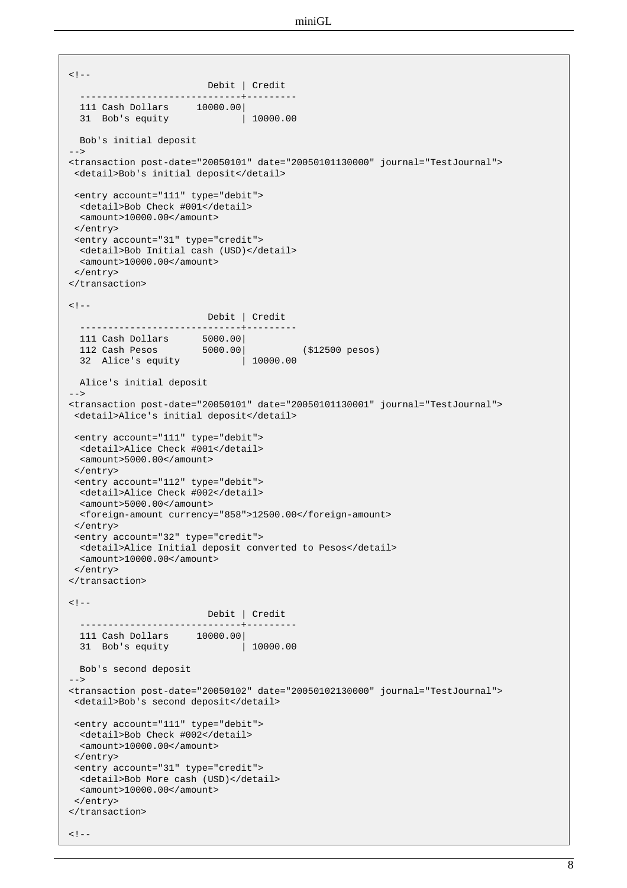```
\lt! --
                      Debit | Credit
 -----------------------------+---------
 111 Cash Dollars 10000.00|
 31 Bob's equity | 10000.00
Bob's initial deposit
--&<transaction post-date="20050101" date="20050101130000" journal="TestJournal">
<detail>Bob's initial deposit</detail>
<entry account="111" type="debit">
 <detail>Bob Check #001</detail>
 <amount>10000.00</amount>
</entry>
<entry account="31" type="credit">
 <detail>Bob Initial cash (USD)</detail>
 <amount>10000.00</amount>
</entry>
</transaction>
<! -Debit | Credit
 -----------------------------+---------
  111 Cash Dollars 5000.00|
  112 Cash Pesos 5000.00| ($12500 pesos)
 32 Alice's equity | 10000.00
Alice's initial deposit
--<transaction post-date="20050101" date="20050101130001" journal="TestJournal">
<detail>Alice's initial deposit</detail>
 <entry account="111" type="debit">
  <detail>Alice Check #001</detail>
 <amount>5000.00</amount>
</entry>
<entry account="112" type="debit">
 <detail>Alice Check #002</detail>
 <amount>5000.00</amount>
 <foreign-amount currency="858">12500.00</foreign-amount>
</entry>
<entry account="32" type="credit">
 <detail>Alice Initial deposit converted to Pesos</detail>
 <amount>10000.00</amount>
</entry>
</transaction>
\leq ! -Debit | Credit
 -----------------------------+---------
111 Cash Dollars 10000.00|
 31 Bob's equity | 10000.00
 Bob's second deposit
-->
<transaction post-date="20050102" date="20050102130000" journal="TestJournal">
<detail>Bob's second deposit</detail>
<entry account="111" type="debit">
 <detail>Bob Check #002</detail>
 <amount>10000.00</amount>
</entry>
<entry account="31" type="credit">
 <detail>Bob More cash (USD)</detail>
 <amount>10000.00</amount>
</entry>
</transaction>
<! -
```